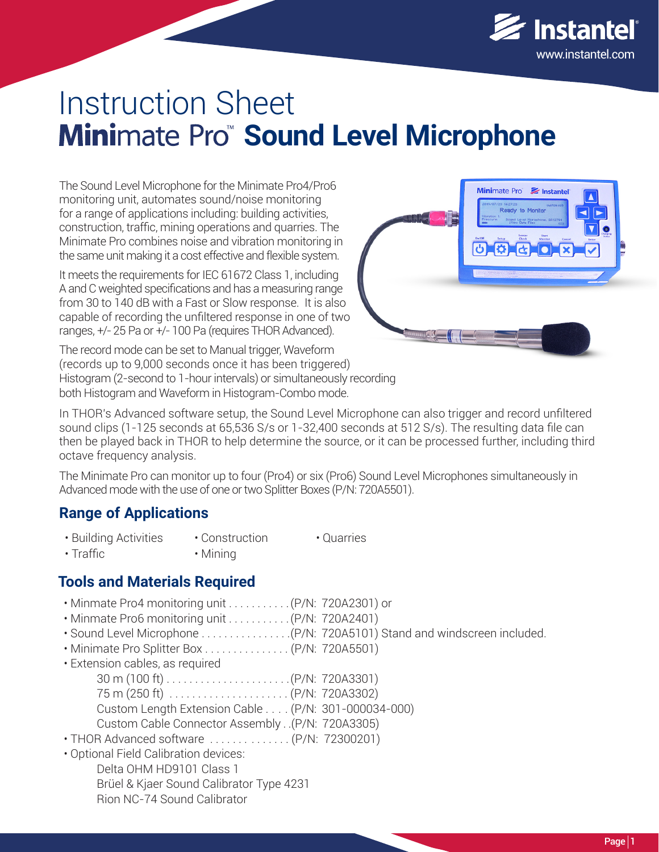

# Instruction Sheet **Minimate Pro Sound Level Microphone**

The Sound Level Microphone for the Minimate Pro4/Pro6 monitoring unit, automates sound/noise monitoring for a range of applications including: building activities, construction, traffic, mining operations and quarries. The Minimate Pro combines noise and vibration monitoring in the same unit making it a cost effective and flexible system.

It meets the requirements for IEC 61672 Class 1, including A and C weighted specifications and has a measuring range from 30 to 140 dB with a Fast or Slow response. It is also capable of recording the unfiltered response in one of two ranges, +/- 25 Pa or +/- 100 Pa (requires THOR Advanced).



The record mode can be set to Manual trigger, Waveform (records up to 9,000 seconds once it has been triggered) Histogram (2-second to 1-hour intervals) or simultaneously recording both Histogram and Waveform in Histogram-Combo mode.

In THOR's Advanced software setup, the Sound Level Microphone can also trigger and record unfiltered sound clips (1-125 seconds at 65,536 S/s or 1-32,400 seconds at 512 S/s). The resulting data file can then be played back in THOR to help determine the source, or it can be processed further, including third octave frequency analysis.

The Minimate Pro can monitor up to four (Pro4) or six (Pro6) Sound Level Microphones simultaneously in Advanced mode with the use of one or two Splitter Boxes (P/N: 720A5501).

#### **Range of Applications**

- Construction • Building Activities • Quarries
- Mining • Traffic

#### **Tools and Materials Required**

- Minmate Pro4 monitoring unit . . . . . . . . . . .(P/N: 720A2301) or
- Minmate Pro6 monitoring unit . . . . . . . . . . .(P/N: 720A2401)
- Sound Level Microphone . . . . . . . . . . . . . . . .(P/N: 720A5101) Stand and windscreen included.
- Minimate Pro Splitter Box . . . . . . . . . . . . . . . (P/N: 720A5501)
- Extension cables, as required

| $30 \text{ m} (100 \text{ ft}) \dots \dots \dots \dots \dots \dots (P/N: 720A3301)$ |  |
|-------------------------------------------------------------------------------------|--|
|                                                                                     |  |
| Custom Length Extension Cable (P/N: 301-000034-000)                                 |  |
| Custom Cable Connector Assembly (P/N: 720A3305)                                     |  |

- THOR Advanced software . . . . . . . . . . . . . . (P/N: 72300201)
- *The World's Most Trusted Monitors Vibration · Noise · Air Overpressure* **www.instantel.com** Rion NC-74 Sound Calibrator • Optional Field Calibration devices: Delta OHM HD9101 Class 1 Brüel & Kjaer Sound Calibrator Type 4231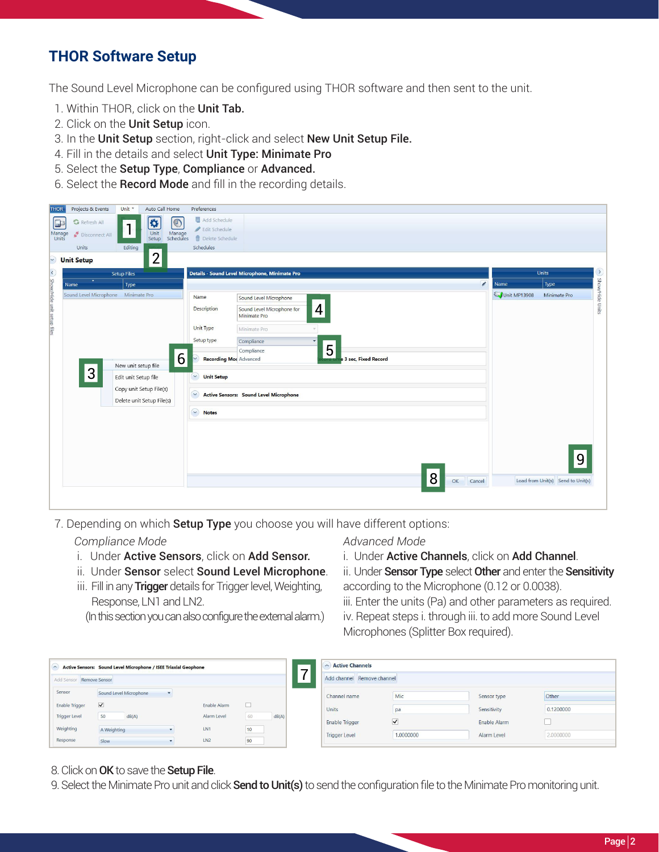# **THOR Software Setup**

The Sound Level Microphone can be configured using THOR software and then sent to the unit.

- 1. Within THOR, click on the Unit Tab.
- 2. Click on the **Unit Setup** icon.
- 3. In the Unit Setup section, right-click and select New Unit Setup File.
- 4. Fill in the details and select Unit Type: Minimate Pro
- 5. Select the Setup Type, Compliance or Advanced.
- 6. Select the Record Mode and fill in the recording details.

| <b>THOR</b>                | Projects & Events                   | Unit *                  | Auto Call Home               | Preferences                                                                                  |              |                                   |                 |
|----------------------------|-------------------------------------|-------------------------|------------------------------|----------------------------------------------------------------------------------------------|--------------|-----------------------------------|-----------------|
| $\Box$                     | <b>G</b> Refresh All                |                         | ♦<br>$\bigcirc$              | Add Schedule                                                                                 |              |                                   |                 |
|                            | Disconnect All                      | $\mathbf{1}$            | Unit                         | Edit Schedule                                                                                |              |                                   |                 |
| Manage<br>Units            |                                     |                         | Manage<br>Schedules<br>Setup | <b>f</b> Delete Schedule                                                                     |              |                                   |                 |
|                            | Units                               | Editing                 |                              | Schedules                                                                                    |              |                                   |                 |
| $\vert \cdot \vert$        | <b>Unit Setup</b>                   |                         | $\overline{2}$               |                                                                                              |              |                                   |                 |
|                            |                                     | <b>Setup Files</b>      |                              | Details - Sound Level Microphone, Minimate Pro                                               |              | Units                             | $\sum$          |
|                            | ۰<br>Name                           | Type                    |                              | $\mathscr{E}$                                                                                | <b>Name</b>  | Type                              |                 |
|                            | Sound Level Microphone Minimate Pro |                         |                              | Name<br>Sound Level Microphone                                                               | Unit MP13908 | Minimate Pro                      |                 |
| Show/Hide unit setup files |                                     |                         |                              | $\overline{\mathcal{A}}$<br><b>Description</b><br>Sound Level Microphone for<br>Minimate Pro |              |                                   | Show/Hide Units |
|                            |                                     |                         |                              | Unit Type<br>Minimate Pro                                                                    |              |                                   |                 |
|                            |                                     |                         |                              | Setup type<br>Compliance<br>$\overline{\mathbf{v}}$                                          |              |                                   |                 |
|                            |                                     |                         |                              | 5<br>Compliance                                                                              |              |                                   |                 |
|                            |                                     |                         | 6                            | <b>Recording Mor</b> Advanced<br>3 sec, Fixed Record                                         |              |                                   |                 |
|                            | 3                                   | New unit setup file     |                              | $\checkmark$                                                                                 |              |                                   |                 |
|                            |                                     | Edit unit Setup file    |                              | <b>Unit Setup</b>                                                                            |              |                                   |                 |
|                            |                                     | Copy unit Setup File(s) |                              | $\sim$<br><b>Active Sensors: Sound Level Microphone</b>                                      |              |                                   |                 |
|                            |                                     |                         | Delete unit Setup File(s)    |                                                                                              |              |                                   |                 |
|                            |                                     |                         |                              | $\heartsuit$<br><b>Notes</b>                                                                 |              |                                   |                 |
|                            |                                     |                         |                              |                                                                                              |              |                                   |                 |
|                            |                                     |                         |                              |                                                                                              |              |                                   |                 |
|                            |                                     |                         |                              |                                                                                              |              |                                   |                 |
|                            |                                     |                         |                              |                                                                                              |              | 9                                 |                 |
|                            |                                     |                         |                              |                                                                                              |              |                                   |                 |
|                            |                                     |                         |                              | 8<br>Cancel<br>OK                                                                            |              | Load from Unit(s) Send to Unit(s) |                 |
|                            |                                     |                         |                              |                                                                                              |              |                                   |                 |
|                            |                                     |                         |                              |                                                                                              |              |                                   |                 |

7. Depending on which **Setup Type** you choose you will have different options:

#### *Compliance Mode*

- i. Under Active Sensors, click on Add Sensor.
- ii. Under Sensor select Sound Level Microphone.
- iii. Fill in any Trigger details for Trigger level, Weighting, Response, LN1 and LN2.

(In this section you can also configure the external alarm.)

#### *Advanced Mode*

i. Under Active Channels, click on Add Channel.

ii. Under Sensor Type select Other and enter the Sensitivity according to the Microphone (0.12 or 0.0038).

iii. Enter the units (Pa) and other parameters as required. iv. Repeat steps i. through iii. to add more Sound Level Microphones (Splitter Box required).

| Active Sensors: Sound Level Microphone / ISEE Triaxial Geophone<br>$\sim$<br>⇁ |                        |                 |    |       | <b>Active Channels</b><br>$\sim$ |                      |              |           |
|--------------------------------------------------------------------------------|------------------------|-----------------|----|-------|----------------------------------|----------------------|--------------|-----------|
| Add Sensor Remove Sensor                                                       |                        |                 |    |       | Add channel Remove channel       |                      |              |           |
| Sensor                                                                         | Sound Level Microphone |                 |    |       | Channel name                     | Mic                  | Sensor type  | Other     |
| <b>Enable Trigger</b>                                                          | $\blacktriangledown$   | Enable Alarm    |    |       | Units                            | pa                   | Sensitivity  | 0.1200000 |
| <b>Trigger Level</b>                                                           | 50<br>dB(A)            | Alarm Level     | 60 | dB(A) | Enable Trigger                   | $\blacktriangledown$ | Enable Alarm |           |
| Weighting                                                                      | A Weighting            | LN1             | 10 |       |                                  |                      |              |           |
| Response                                                                       | Slow                   | LN <sub>2</sub> | 90 |       | <b>Trigger Level</b>             | 1.0000000            | Alarm Level  | 2.0000000 |

- 8. Click on OK to save the Setup File.
- 9. Select the Minimate Pro unit and click **Send to Unit(s)** to send the configuration file to the Minimate Pro monitoring unit.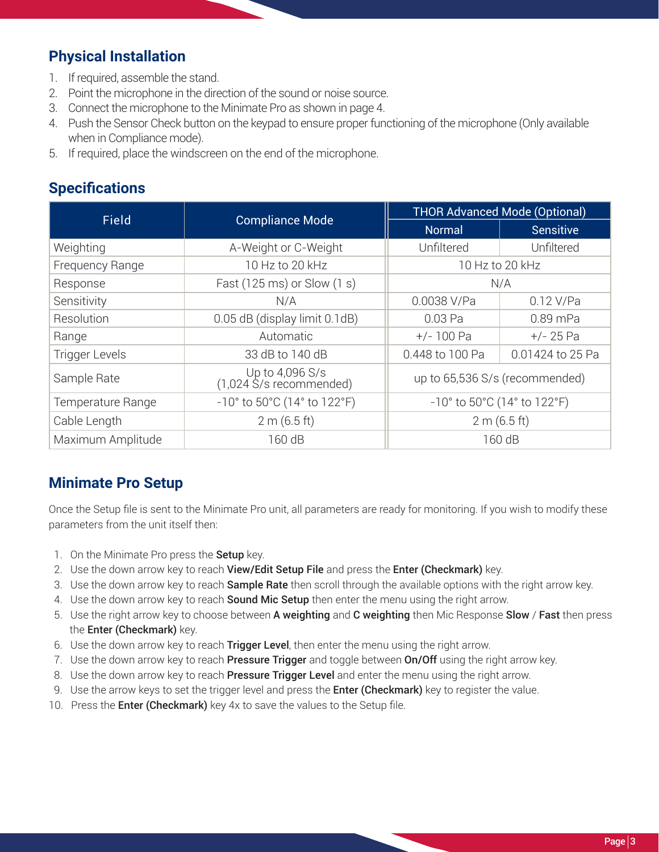# **Physical Installation**

- 1. If required, assemble the stand.
- 2. Point the microphone in the direction of the sound or noise source.
- 3. Connect the microphone to the Minimate Pro as shown in page 4.
- 4. Push the Sensor Check button on the keypad to ensure proper functioning of the microphone (Only available when in Compliance mode).
- 5. If required, place the windscreen on the end of the microphone.

## **Specifications**

| <b>Field</b>          | <b>Compliance Mode</b>                                               | <b>THOR Advanced Mode (Optional)</b>                                 |                  |  |  |
|-----------------------|----------------------------------------------------------------------|----------------------------------------------------------------------|------------------|--|--|
|                       |                                                                      | <b>Normal</b>                                                        | <b>Sensitive</b> |  |  |
| Weighting             | A-Weight or C-Weight                                                 | Unfiltered                                                           | Unfiltered       |  |  |
| Frequency Range       | 10 Hz to 20 kHz                                                      | 10 Hz to 20 kHz                                                      |                  |  |  |
| Response              | Fast (125 ms) or Slow (1 s)                                          | N/A                                                                  |                  |  |  |
| Sensitivity           | N/A                                                                  | 0.0038 V/Pa                                                          | $0.12$ V/Pa      |  |  |
| Resolution            | 0.05 dB (display limit 0.1dB)                                        | 0.03 Pa                                                              | 0.89 mPa         |  |  |
| Range                 | Automatic                                                            | $+/- 100$ Pa                                                         | $+/- 25 Pa$      |  |  |
| <b>Trigger Levels</b> | 33 dB to 140 dB                                                      | 0.448 to 100 Pa                                                      | 0.01424 to 25 Pa |  |  |
| Sample Rate           | Up to 4,096 S/s<br>(1,024 S/s recommended)                           | up to 65,536 S/s (recommended)                                       |                  |  |  |
| Temperature Range     | $-10^{\circ}$ to 50 $^{\circ}$ C (14 $^{\circ}$ to 122 $^{\circ}$ F) | $-10^{\circ}$ to 50 $^{\circ}$ C (14 $^{\circ}$ to 122 $^{\circ}$ F) |                  |  |  |
| Cable Length          | 2 m (6.5 ft)                                                         | 2 m (6.5 ft)                                                         |                  |  |  |
| Maximum Amplitude     | 160 dB                                                               | 160 dB                                                               |                  |  |  |

### **Minimate Pro Setup**

Once the Setup file is sent to the Minimate Pro unit, all parameters are ready for monitoring. If you wish to modify these parameters from the unit itself then:

- 1. On the Minimate Pro press the **Setup** key.
- 2. Use the down arrow key to reach View/Edit Setup File and press the Enter (Checkmark) key.
- 3. Use the down arrow key to reach **Sample Rate** then scroll through the available options with the right arrow key.
- 4. Use the down arrow key to reach **Sound Mic Setup** then enter the menu using the right arrow.
- 5. Use the right arrow key to choose between A weighting and C weighting then Mic Response Slow / Fast then press the Enter (Checkmark) key.
- 6. Use the down arrow key to reach Trigger Level, then enter the menu using the right arrow.
- 7. Use the down arrow key to reach **Pressure Trigger** and toggle between **On/Off** using the right arrow key.
- 8. Use the down arrow key to reach **Pressure Trigger Level** and enter the menu using the right arrow.
- 9. Use the arrow keys to set the trigger level and press the **Enter (Checkmark)** key to register the value.
- 10. Press the **Enter (Checkmark)** key 4x to save the values to the Setup file.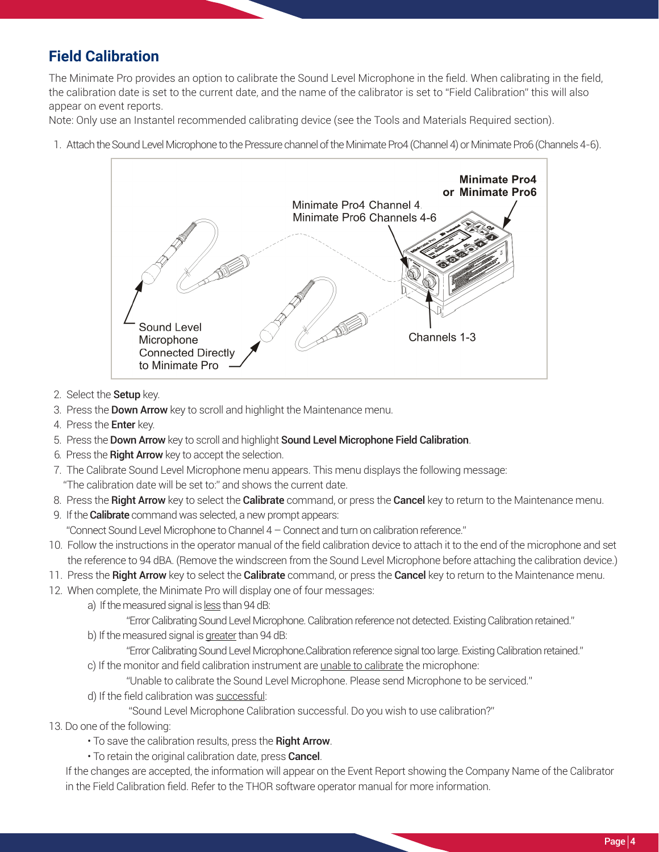# **Field Calibration**

The Minimate Pro provides an option to calibrate the Sound Level Microphone in the field. When calibrating in the field, the calibration date is set to the current date, and the name of the calibrator is set to "Field Calibration" this will also appear on event reports.

Note: Only use an Instantel recommended calibrating device (see the Tools and Materials Required section).

1. Attach the Sound Level Microphone to the Pressure channel of the Minimate Pro4 (Channel 4) or Minimate Pro6 (Channels 4-6).



- 2. Select the **Setup** key.
- 3. Press the **Down Arrow** key to scroll and highlight the Maintenance menu.
- 4. Press the Enter key.
- 5. Press the Down Arrow key to scroll and highlight Sound Level Microphone Field Calibration.
- 6. Press the Right Arrow key to accept the selection.
- 7. The Calibrate Sound Level Microphone menu appears. This menu displays the following message: "The calibration date will be set to:" and shows the current date.
- 8. Press the Right Arrow key to select the Calibrate command, or press the Cancel key to return to the Maintenance menu.
- 9. If the **Calibrate** command was selected, a new prompt appears: "Connect Sound Level Microphone to Channel 4 – Connect and turn on calibration reference."
- 10. Follow the instructions in the operator manual of the field calibration device to attach it to the end of the microphone and set
- the reference to 94 dBA. (Remove the windscreen from the Sound Level Microphone before attaching the calibration device.)
- 11. Press the Right Arrow key to select the Calibrate command, or press the Cancel key to return to the Maintenance menu.
- 12. When complete, the Minimate Pro will display one of four messages:
	- a) If the measured signal is less than 94 dB:
		- "Error Calibrating Sound Level Microphone. Calibration reference not detected. Existing Calibration retained."
	- b) If the measured signal is greater than 94 dB:
		- "Error Calibrating Sound Level Microphone.Calibration reference signal too large. Existing Calibration retained."
	- c) If the monitor and field calibration instrument are unable to calibrate the microphone:

"Unable to calibrate the Sound Level Microphone. Please send Microphone to be serviced."

d) If the field calibration was successful:

"Sound Level Microphone Calibration successful. Do you wish to use calibration?"

- 13. Do one of the following:
	- To save the calibration results, press the Right Arrow.
	- To retain the original calibration date, press **Cancel**.

 If the changes are accepted, the information will appear on the Event Report showing the Company Name of the Calibrator in the Field Calibration field. Refer to the THOR software operator manual for more information.